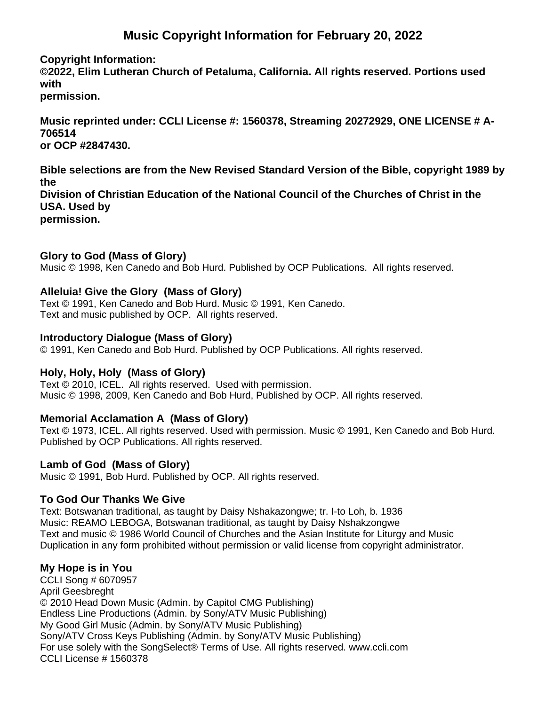# **Music Copyright Information for February 20, 2022**

#### **Copyright Information:**

**©2022, Elim Lutheran Church of Petaluma, California. All rights reserved. Portions used with permission.**

**Music reprinted under: CCLI License #: 1560378, Streaming 20272929, ONE LICENSE # A-706514 or OCP #2847430.**

**Bible selections are from the New Revised Standard Version of the Bible, copyright 1989 by the Division of Christian Education of the National Council of the Churches of Christ in the USA. Used by permission.**

#### **Glory to God (Mass of Glory)**

Music © 1998, Ken Canedo and Bob Hurd. Published by OCP Publications. All rights reserved.

#### **Alleluia! Give the Glory (Mass of Glory)**

Text © 1991, Ken Canedo and Bob Hurd. Music © 1991, Ken Canedo. Text and music published by OCP. All rights reserved.

#### **Introductory Dialogue (Mass of Glory)**

© 1991, Ken Canedo and Bob Hurd. Published by OCP Publications. All rights reserved.

## **Holy, Holy, Holy (Mass of Glory)**

Text © 2010, ICEL. All rights reserved. Used with permission. Music © 1998, 2009, Ken Canedo and Bob Hurd, Published by OCP. All rights reserved.

## **Memorial Acclamation A (Mass of Glory)**

Text © 1973, ICEL. All rights reserved. Used with permission. Music © 1991, Ken Canedo and Bob Hurd. Published by OCP Publications. All rights reserved.

## **Lamb of God (Mass of Glory)**

Music © 1991, Bob Hurd. Published by OCP. All rights reserved.

## **To God Our Thanks We Give**

Text: Botswanan traditional, as taught by Daisy Nshakazongwe; tr. I-to Loh, b. 1936 Music: REAMO LEBOGA, Botswanan traditional, as taught by Daisy Nshakzongwe Text and music © 1986 World Council of Churches and the Asian Institute for Liturgy and Music Duplication in any form prohibited without permission or valid license from copyright administrator.

## **My Hope is in You**

CCLI Song # 6070957 April Geesbreght © 2010 Head Down Music (Admin. by Capitol CMG Publishing) Endless Line Productions (Admin. by Sony/ATV Music Publishing) My Good Girl Music (Admin. by Sony/ATV Music Publishing) Sony/ATV Cross Keys Publishing (Admin. by Sony/ATV Music Publishing) For use solely with the SongSelect® Terms of Use. All rights reserved. www.ccli.com CCLI License # 1560378